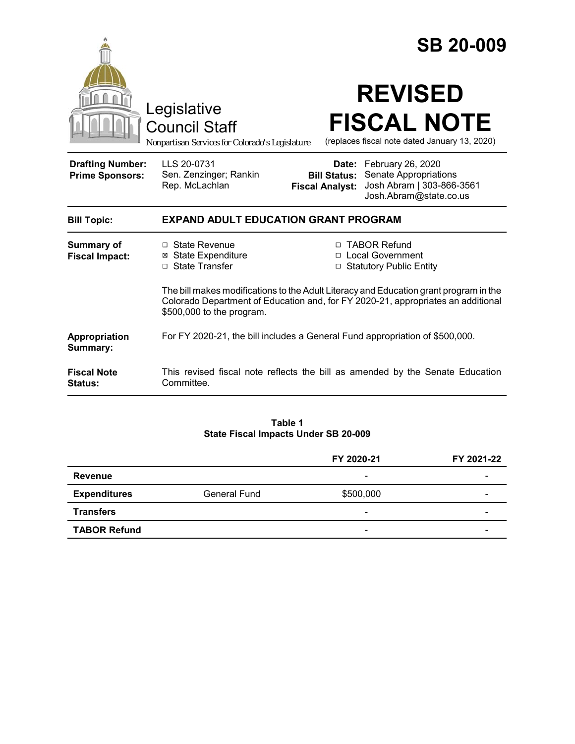|                                                   |                                                                                                                                                                                                        |                                               | <b>SB 20-009</b>                                                                                        |  |
|---------------------------------------------------|--------------------------------------------------------------------------------------------------------------------------------------------------------------------------------------------------------|-----------------------------------------------|---------------------------------------------------------------------------------------------------------|--|
|                                                   | Legislative<br><b>Council Staff</b><br>Nonpartisan Services for Colorado's Legislature                                                                                                                 |                                               | <b>REVISED</b><br><b>FISCAL NOTE</b><br>(replaces fiscal note dated January 13, 2020)                   |  |
| <b>Drafting Number:</b><br><b>Prime Sponsors:</b> | LLS 20-0731<br>Sen. Zenzinger; Rankin<br>Rep. McLachlan                                                                                                                                                | <b>Bill Status:</b><br><b>Fiscal Analyst:</b> | Date: February 26, 2020<br>Senate Appropriations<br>Josh Abram   303-866-3561<br>Josh.Abram@state.co.us |  |
| <b>Bill Topic:</b>                                | <b>EXPAND ADULT EDUCATION GRANT PROGRAM</b>                                                                                                                                                            |                                               |                                                                                                         |  |
| <b>Summary of</b><br><b>Fiscal Impact:</b>        | □ State Revenue<br><b>⊠</b> State Expenditure<br>$\Box$ State Transfer                                                                                                                                 |                                               | □ TABOR Refund<br>□ Local Government<br>□ Statutory Public Entity                                       |  |
|                                                   | The bill makes modifications to the Adult Literacy and Education grant program in the<br>Colorado Department of Education and, for FY 2020-21, appropriates an additional<br>\$500,000 to the program. |                                               |                                                                                                         |  |
| Appropriation<br>Summary:                         | For FY 2020-21, the bill includes a General Fund appropriation of \$500,000.                                                                                                                           |                                               |                                                                                                         |  |
| <b>Fiscal Note</b><br><b>Status:</b>              | This revised fiscal note reflects the bill as amended by the Senate Education<br>Committee.                                                                                                            |                                               |                                                                                                         |  |

### **Table 1 State Fiscal Impacts Under SB 20-009**

|                     |              | FY 2020-21               | FY 2021-22 |
|---------------------|--------------|--------------------------|------------|
| Revenue             |              | $\overline{\phantom{0}}$ | -          |
| <b>Expenditures</b> | General Fund | \$500,000                | -          |
| <b>Transfers</b>    |              | $\overline{\phantom{0}}$ | -          |
| <b>TABOR Refund</b> |              | $\overline{\phantom{0}}$ |            |